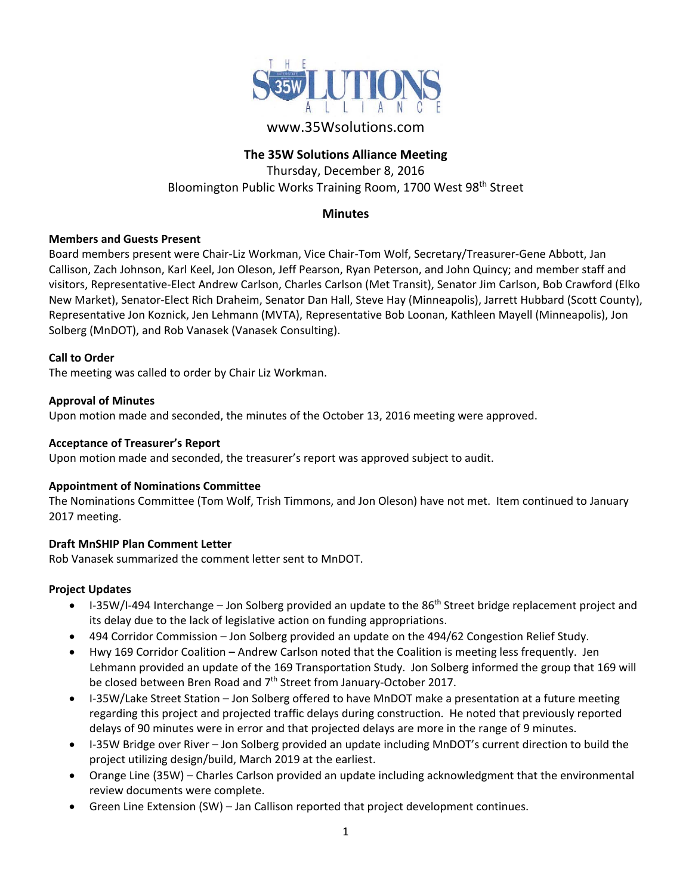

# www.35Wsolutions.com

# **The 35W Solutions Alliance Meeting**

Thursday, December 8, 2016 Bloomington Public Works Training Room, 1700 West 98<sup>th</sup> Street

# **Minutes**

### **Members and Guests Present**

Board members present were Chair‐Liz Workman, Vice Chair‐Tom Wolf, Secretary/Treasurer‐Gene Abbott, Jan Callison, Zach Johnson, Karl Keel, Jon Oleson, Jeff Pearson, Ryan Peterson, and John Quincy; and member staff and visitors, Representative‐Elect Andrew Carlson, Charles Carlson (Met Transit), Senator Jim Carlson, Bob Crawford (Elko New Market), Senator‐Elect Rich Draheim, Senator Dan Hall, Steve Hay (Minneapolis), Jarrett Hubbard (Scott County), Representative Jon Koznick, Jen Lehmann (MVTA), Representative Bob Loonan, Kathleen Mayell (Minneapolis), Jon Solberg (MnDOT), and Rob Vanasek (Vanasek Consulting).

### **Call to Order**

The meeting was called to order by Chair Liz Workman.

#### **Approval of Minutes**

Upon motion made and seconded, the minutes of the October 13, 2016 meeting were approved.

#### **Acceptance of Treasurer's Report**

Upon motion made and seconded, the treasurer's report was approved subject to audit.

#### **Appointment of Nominations Committee**

The Nominations Committee (Tom Wolf, Trish Timmons, and Jon Oleson) have not met. Item continued to January 2017 meeting.

### **Draft MnSHIP Plan Comment Letter**

Rob Vanasek summarized the comment letter sent to MnDOT.

### **Project Updates**

- $I-35W/I-494$  Interchange Jon Solberg provided an update to the 86<sup>th</sup> Street bridge replacement project and its delay due to the lack of legislative action on funding appropriations.
- 494 Corridor Commission Jon Solberg provided an update on the 494/62 Congestion Relief Study.
- Hwy 169 Corridor Coalition Andrew Carlson noted that the Coalition is meeting less frequently. Jen Lehmann provided an update of the 169 Transportation Study. Jon Solberg informed the group that 169 will be closed between Bren Road and 7<sup>th</sup> Street from January-October 2017.
- I-35W/Lake Street Station Jon Solberg offered to have MnDOT make a presentation at a future meeting regarding this project and projected traffic delays during construction. He noted that previously reported delays of 90 minutes were in error and that projected delays are more in the range of 9 minutes.
- I-35W Bridge over River Jon Solberg provided an update including MnDOT's current direction to build the project utilizing design/build, March 2019 at the earliest.
- Orange Line (35W) Charles Carlson provided an update including acknowledgment that the environmental review documents were complete.
- Green Line Extension (SW) Jan Callison reported that project development continues.